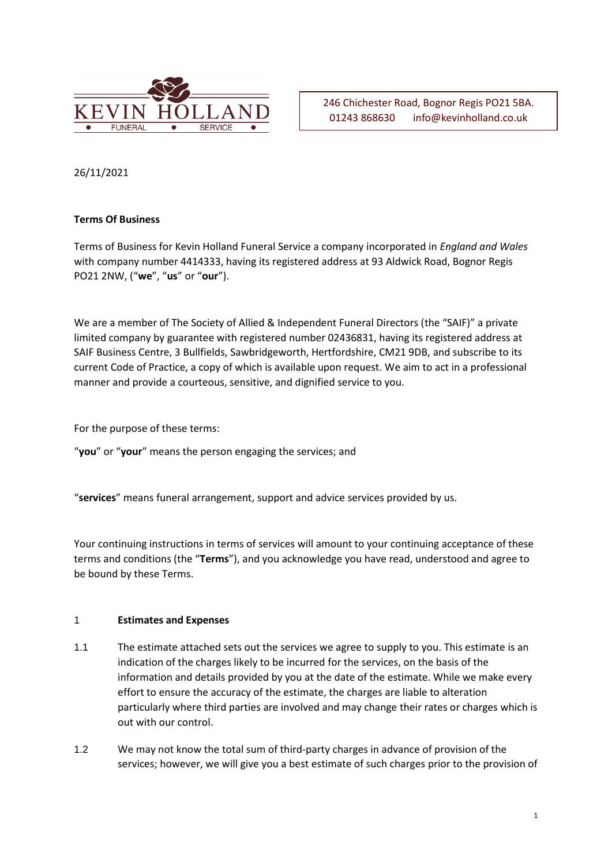

246 Chichester Road, Bognor Regis PO21 5BA. 01243 868630 info@kevinholland.co.uk

26/11/2021

# **Terms Of Business**

Terms of Business for Kevin Holland Funeral Service a company incorporated in *England and Wales*  with company number 4414333, having its registered address at 93 Aldwick Road, Bognor Regis PO21 2NW, ("**we**", "**us**" or "**our**").

We are a member of The Society of Allied & Independent Funeral Directors (the "SAIF)" a private limited company by guarantee with registered number 02436831, having its registered address at SAIF Business Centre, 3 Bullfields, Sawbridgeworth, Hertfordshire, CM21 9DB, and subscribe to its current Code of Practice, a copy of which is available upon request. We aim to act in a professional manner and provide a courteous, sensitive, and dignified service to you.

For the purpose of these terms:

"**you**" or "**your**" means the person engaging the services; and

"**services**" means funeral arrangement, support and advice services provided by us.

Your continuing instructions in terms of services will amount to your continuing acceptance of these terms and conditions (the "**Terms**"), and you acknowledge you have read, understood and agree to be bound by these Terms.

## 1 **Estimates and Expenses**

- 1.1 The estimate attached sets out the services we agree to supply to you. This estimate is an indication of the charges likely to be incurred for the services, on the basis of the information and details provided by you at the date of the estimate. While we make every effort to ensure the accuracy of the estimate, the charges are liable to alteration particularly where third parties are involved and may change their rates or charges which is out with our control.
- 1.2 We may not know the total sum of third-party charges in advance of provision of the services; however, we will give you a best estimate of such charges prior to the provision of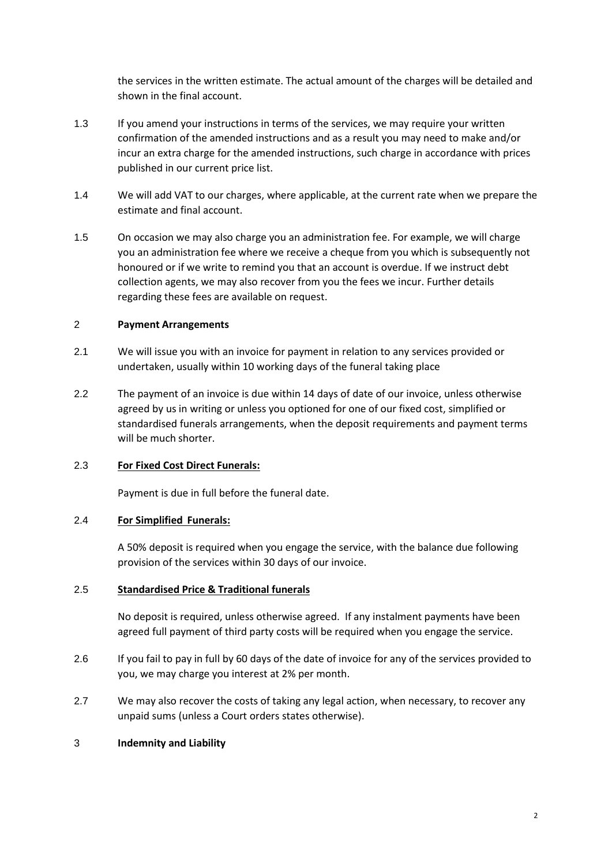the services in the written estimate. The actual amount of the charges will be detailed and shown in the final account.

- 1.3 If you amend your instructions in terms of the services, we may require your written confirmation of the amended instructions and as a result you may need to make and/or incur an extra charge for the amended instructions, such charge in accordance with prices published in our current price list.
- 1.4 We will add VAT to our charges, where applicable, at the current rate when we prepare the estimate and final account.
- 1.5 On occasion we may also charge you an administration fee. For example, we will charge you an administration fee where we receive a cheque from you which is subsequently not honoured or if we write to remind you that an account is overdue. If we instruct debt collection agents, we may also recover from you the fees we incur. Further details regarding these fees are available on request.

## 2 **Payment Arrangements**

- 2.1 We will issue you with an invoice for payment in relation to any services provided or undertaken, usually within 10 working days of the funeral taking place
- 2.2 The payment of an invoice is due within 14 days of date of our invoice, unless otherwise agreed by us in writing or unless you optioned for one of our fixed cost, simplified or standardised funerals arrangements, when the deposit requirements and payment terms will be much shorter.

## 2.3 **For Fixed Cost Direct Funerals:**

Payment is due in full before the funeral date.

## 2.4 **For Simplified Funerals:**

A 50% deposit is required when you engage the service, with the balance due following provision of the services within 30 days of our invoice.

#### 2.5 **Standardised Price & Traditional funerals**

No deposit is required, unless otherwise agreed. If any instalment payments have been agreed full payment of third party costs will be required when you engage the service.

- 2.6 If you fail to pay in full by 60 days of the date of invoice for any of the services provided to you, we may charge you interest at 2% per month.
- 2.7 We may also recover the costs of taking any legal action, when necessary, to recover any unpaid sums (unless a Court orders states otherwise).

#### 3 **Indemnity and Liability**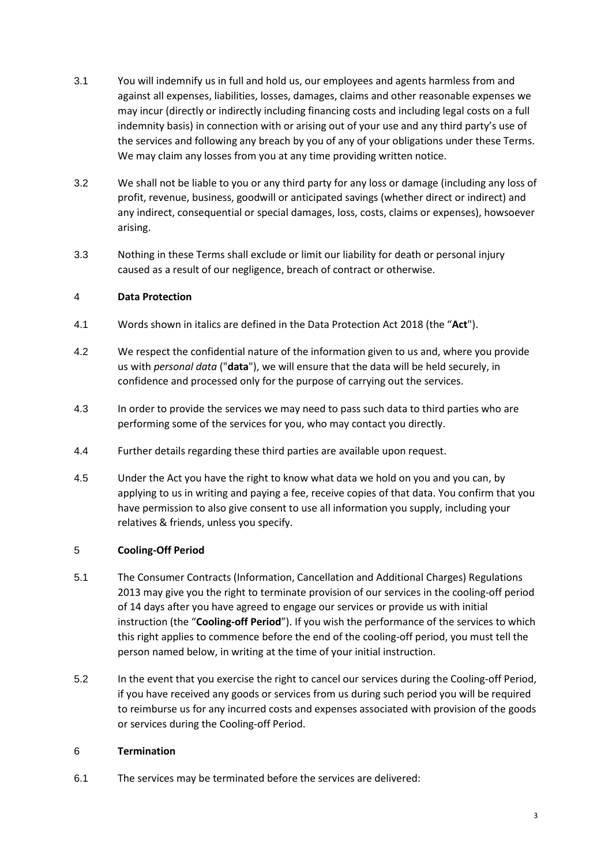- 3.1 You will indemnify us in full and hold us, our employees and agents harmless from and against all expenses, liabilities, losses, damages, claims and other reasonable expenses we may incur (directly or indirectly including financing costs and including legal costs on a full indemnity basis) in connection with or arising out of your use and any third party's use of the services and following any breach by you of any of your obligations under these Terms. We may claim any losses from you at any time providing written notice.
- 3.2 We shall not be liable to you or any third party for any loss or damage (including any loss of profit, revenue, business, goodwill or anticipated savings (whether direct or indirect) and any indirect, consequential or special damages, loss, costs, claims or expenses), howsoever arising.
- 3.3 Nothing in these Terms shall exclude or limit our liability for death or personal injury caused as a result of our negligence, breach of contract or otherwise.

# 4 **Data Protection**

- 4.1 Words shown in italics are defined in the Data Protection Act 2018 (the "**Act**").
- 4.2 We respect the confidential nature of the information given to us and, where you provide us with *personal data* ("**data**"), we will ensure that the data will be held securely, in confidence and processed only for the purpose of carrying out the services.
- 4.3 In order to provide the services we may need to pass such data to third parties who are performing some of the services for you, who may contact you directly.
- 4.4 Further details regarding these third parties are available upon request.
- 4.5 Under the Act you have the right to know what data we hold on you and you can, by applying to us in writing and paying a fee, receive copies of that data. You confirm that you have permission to also give consent to use all information you supply, including your relatives & friends, unless you specify.

## 5 **Cooling-Off Period**

- 5.1 The Consumer Contracts (Information, Cancellation and Additional Charges) Regulations 2013 may give you the right to terminate provision of our services in the cooling-off period of 14 days after you have agreed to engage our services or provide us with initial instruction (the "**Cooling-off Period**"). If you wish the performance of the services to which this right applies to commence before the end of the cooling-off period, you must tell the person named below, in writing at the time of your initial instruction.
- 5.2 In the event that you exercise the right to cancel our services during the Cooling-off Period, if you have received any goods or services from us during such period you will be required to reimburse us for any incurred costs and expenses associated with provision of the goods or services during the Cooling-off Period.

## 6 **Termination**

6.1 The services may be terminated before the services are delivered: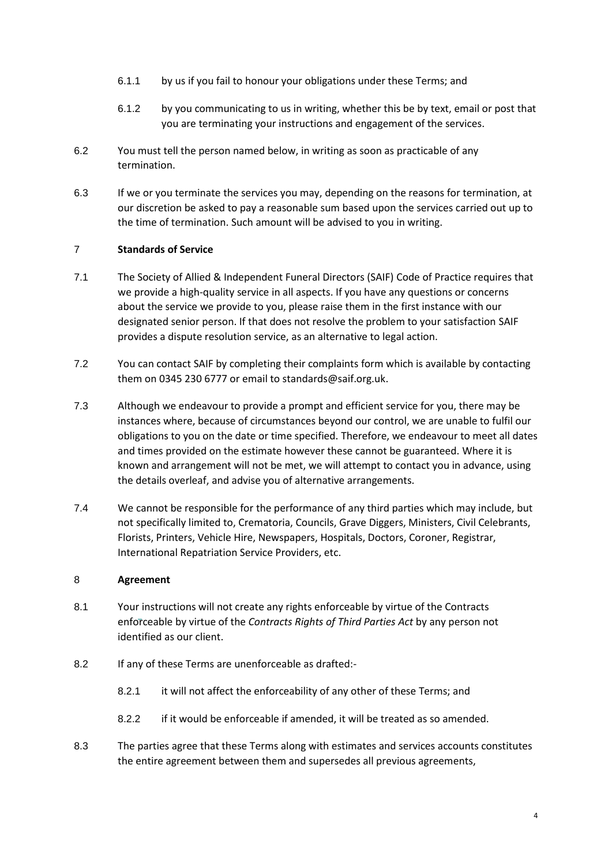- 6.1.1 by us if you fail to honour your obligations under these Terms; and
- 6.1.2 by you communicating to us in writing, whether this be by text, email or post that you are terminating your instructions and engagement of the services.
- 6.2 You must tell the person named below, in writing as soon as practicable of any termination.
- 6.3 If we or you terminate the services you may, depending on the reasons for termination, at our discretion be asked to pay a reasonable sum based upon the services carried out up to the time of termination. Such amount will be advised to you in writing.

# 7 **Standards of Service**

- 7.1 The Society of Allied & Independent Funeral Directors (SAIF) Code of Practice requires that we provide a high-quality service in all aspects. If you have any questions or concerns about the service we provide to you, please raise them in the first instance with our designated senior person. If that does not resolve the problem to your satisfaction SAIF provides a dispute resolution service, as an alternative to legal action.
- 7.2 You can contact SAIF by completing their complaints form which is available by contacting them on 0345 230 6777 or email to standards@saif.org.uk.
- 7.3 Although we endeavour to provide a prompt and efficient service for you, there may be instances where, because of circumstances beyond our control, we are unable to fulfil our obligations to you on the date or time specified. Therefore, we endeavour to meet all dates and times provided on the estimate however these cannot be guaranteed. Where it is known and arrangement will not be met, we will attempt to contact you in advance, using the details overleaf, and advise you of alternative arrangements.
- 7.4 We cannot be responsible for the performance of any third parties which may include, but not specifically limited to, Crematoria, Councils, Grave Diggers, Ministers, Civil Celebrants, Florists, Printers, Vehicle Hire, Newspapers, Hospitals, Doctors, Coroner, Registrar, International Repatriation Service Providers, etc.

## 8 **Agreement**

- 8.1 Your instructions will not create any rights enforceable by virtue of the Contracts enforceable by virtue of the *Contracts Rights of Third Parties Act* by any person not identified as our client.
- 8.2 If any of these Terms are unenforceable as drafted:-
	- 8.2.1 it will not affect the enforceability of any other of these Terms; and
	- 8.2.2 if it would be enforceable if amended, it will be treated as so amended.
- 8.3 The parties agree that these Terms along with estimates and services accounts constitutes the entire agreement between them and supersedes all previous agreements,